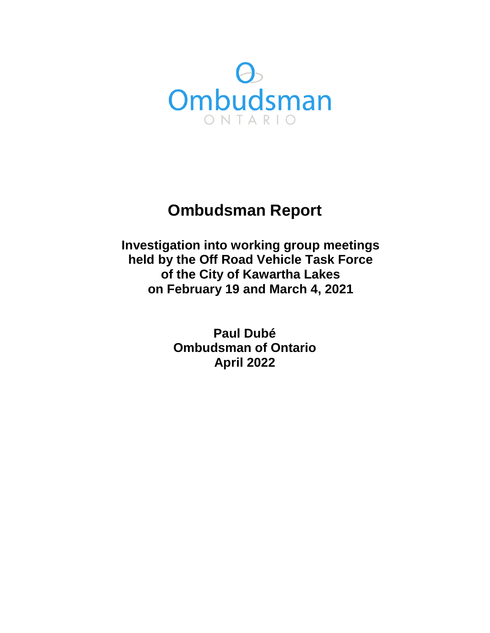

# **Ombudsman Report**

**Investigation into working group meetings held by the Off Road Vehicle Task Force of the City of Kawartha Lakes on February 19 and March 4, 2021** 

> **Paul Dubé Ombudsman of Ontario April 2022**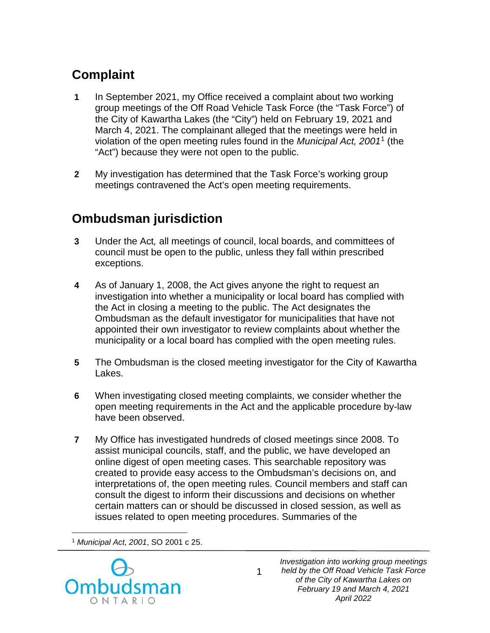## **Complaint**

- **1** In September 2021, my Office received a complaint about two working group meetings of the Off Road Vehicle Task Force (the "Task Force") of the City of Kawartha Lakes (the "City") held on February 19, 2021 and March 4, 2021. The complainant alleged that the meetings were held in violation of the open meeting rules found in the *Municipal Act, 2001*[1](#page-1-0) (the "Act") because they were not open to the public.
- **2** My investigation has determined that the Task Force's working group meetings contravened the Act's open meeting requirements.

## **Ombudsman jurisdiction**

- **3** Under the Act*,* all meetings of council, local boards, and committees of council must be open to the public, unless they fall within prescribed exceptions.
- **4** As of January 1, 2008, the Act gives anyone the right to request an investigation into whether a municipality or local board has complied with the Act in closing a meeting to the public. The Act designates the Ombudsman as the default investigator for municipalities that have not appointed their own investigator to review complaints about whether the municipality or a local board has complied with the open meeting rules.
- **5** The Ombudsman is the closed meeting investigator for the City of Kawartha Lakes.
- **6** When investigating closed meeting complaints, we consider whether the open meeting requirements in the Act and the applicable procedure by-law have been observed.
- **7** My Office has investigated hundreds of closed meetings since 2008. To assist municipal councils, staff, and the public, we have developed an online digest of open meeting cases. This searchable repository was created to provide easy access to the Ombudsman's decisions on, and interpretations of, the open meeting rules. Council members and staff can consult the digest to inform their discussions and decisions on whether certain matters can or should be discussed in closed session, as well as issues related to open meeting procedures. Summaries of the

 $\overline{a}$ <sup>1</sup> *Municipal Act, 2001*, SO 2001 c 25.

<span id="page-1-0"></span>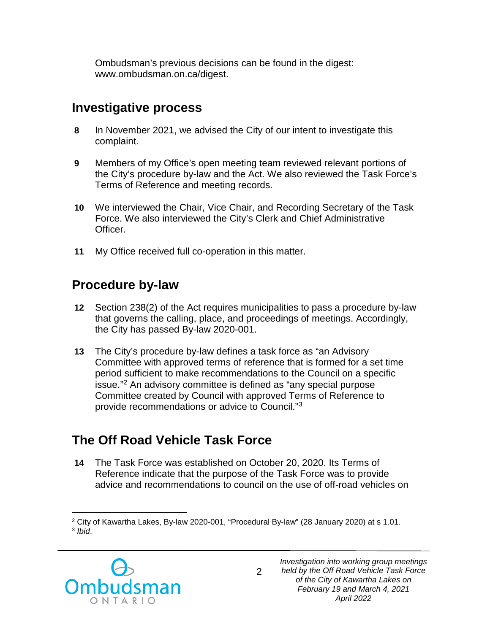Ombudsman's previous decisions can be found in the digest: www.ombudsman.on.ca/digest.

## **Investigative process**

- **8** In November 2021, we advised the City of our intent to investigate this complaint.
- **9** Members of my Office's open meeting team reviewed relevant portions of the City's procedure by-law and the Act. We also reviewed the Task Force's Terms of Reference and meeting records.
- **10** We interviewed the Chair, Vice Chair, and Recording Secretary of the Task Force. We also interviewed the City's Clerk and Chief Administrative Officer.
- **11** My Office received full co-operation in this matter.

### **Procedure by-law**

- **12** Section 238(2) of the Act requires municipalities to pass a procedure by-law that governs the calling, place, and proceedings of meetings. Accordingly, the City has passed By-law 2020-001.
- **13** The City's procedure by-law defines a task force as "an Advisory Committee with approved terms of reference that is formed for a set time period sufficient to make recommendations to the Council on a specific issue."[2](#page-2-0) An advisory committee is defined as "any special purpose Committee created by Council with approved Terms of Reference to provide recommendations or advice to Council."[3](#page-2-1)

## **The Off Road Vehicle Task Force**

**14** The Task Force was established on October 20, 2020. Its Terms of Reference indicate that the purpose of the Task Force was to provide advice and recommendations to council on the use of off-road vehicles on

<span id="page-2-1"></span><span id="page-2-0"></span> $\overline{a}$ <sup>2</sup> City of Kawartha Lakes, By-law 2020-001, "Procedural By-law" (28 January 2020) at s 1.01. <sup>3</sup> *Ibid*.

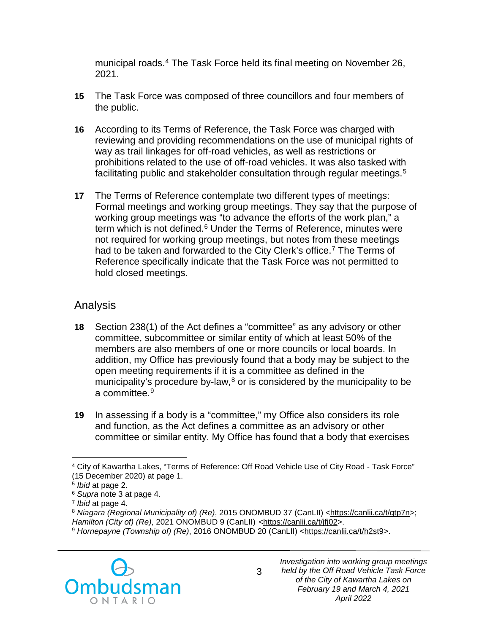municipal roads.[4](#page-3-0) The Task Force held its final meeting on November 26, 2021.

- **15** The Task Force was composed of three councillors and four members of the public.
- **16** According to its Terms of Reference, the Task Force was charged with reviewing and providing recommendations on the use of municipal rights of way as trail linkages for off-road vehicles, as well as restrictions or prohibitions related to the use of off-road vehicles. It was also tasked with facilitating public and stakeholder consultation through regular meetings.<sup>[5](#page-3-1)</sup>
- **17** The Terms of Reference contemplate two different types of meetings: Formal meetings and working group meetings. They say that the purpose of working group meetings was "to advance the efforts of the work plan," a term which is not defined.<sup>[6](#page-3-2)</sup> Under the Terms of Reference, minutes were not required for working group meetings, but notes from these meetings had to be taken and forwarded to the City Clerk's office.<sup>[7](#page-3-3)</sup> The Terms of Reference specifically indicate that the Task Force was not permitted to hold closed meetings.

#### Analysis

- **18** Section 238(1) of the Act defines a "committee" as any advisory or other committee, subcommittee or similar entity of which at least 50% of the members are also members of one or more councils or local boards. In addition, my Office has previously found that a body may be subject to the open meeting requirements if it is a committee as defined in the municipality's procedure by-law, $8$  or is considered by the municipality to be a committee.<sup>[9](#page-3-5)</sup>
- **19** In assessing if a body is a "committee," my Office also considers its role and function, as the Act defines a committee as an advisory or other committee or similar entity. My Office has found that a body that exercises

<span id="page-3-5"></span><span id="page-3-4"></span><span id="page-3-3"></span><span id="page-3-2"></span>*Hamilton (City of) (Re)*, 2021 ONOMBUD 9 (CanLII) [<https://canlii.ca/t/jfj02>](https://canlii.ca/t/jfj02). 9 *Hornepayne (Township of) (Re)*, 2016 ONOMBUD 20 (CanLII) [<https://canlii.ca/t/h2st9>](https://canlii.ca/t/h2st9).



<span id="page-3-0"></span> $\overline{a}$ <sup>4</sup> City of Kawartha Lakes, "Terms of Reference: Off Road Vehicle Use of City Road - Task Force" (15 December 2020) at page 1.

<span id="page-3-1"></span><sup>5</sup> *Ibid* at page 2.

<sup>6</sup> *Supra* note 3 at page 4.

<sup>7</sup> *Ibid* at page 4.

<sup>&</sup>lt;sup>8</sup> *Niagara (Regional Municipality of) (Re)*, 2015 ONOMBUD 37 (CanLII) [<https://canlii.ca/t/gtp7n>](https://canlii.ca/t/gtp7n);<br>Hamilton (City of) (Re), 2021 ONOMBUD 9 (CanLII) <https://canlii.ca/t/jfj02>.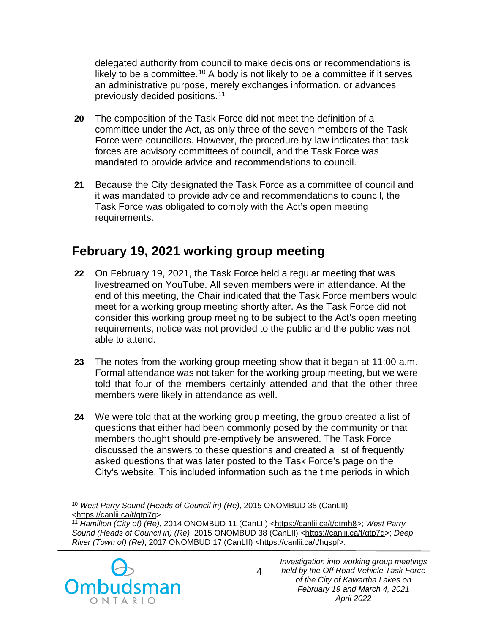delegated authority from council to make decisions or recommendations is likely to be a committee.<sup>10</sup> A body is not likely to be a committee if it serves an administrative purpose, merely exchanges information, or advances previously decided positions.[11](#page-4-1)

- **20** The composition of the Task Force did not meet the definition of a committee under the Act, as only three of the seven members of the Task Force were councillors. However, the procedure by-law indicates that task forces are advisory committees of council, and the Task Force was mandated to provide advice and recommendations to council.
- **21** Because the City designated the Task Force as a committee of council and it was mandated to provide advice and recommendations to council, the Task Force was obligated to comply with the Act's open meeting requirements.

## **February 19, 2021 working group meeting**

- **22** On February 19, 2021, the Task Force held a regular meeting that was livestreamed on YouTube. All seven members were in attendance. At the end of this meeting, the Chair indicated that the Task Force members would meet for a working group meeting shortly after. As the Task Force did not consider this working group meeting to be subject to the Act's open meeting requirements, notice was not provided to the public and the public was not able to attend.
- **23** The notes from the working group meeting show that it began at 11:00 a.m. Formal attendance was not taken for the working group meeting, but we were told that four of the members certainly attended and that the other three members were likely in attendance as well.
- **24** We were told that at the working group meeting, the group created a list of questions that either had been commonly posed by the community or that members thought should pre-emptively be answered. The Task Force discussed the answers to these questions and created a list of frequently asked questions that was later posted to the Task Force's page on the City's website. This included information such as the time periods in which

<span id="page-4-1"></span><span id="page-4-0"></span><sup>&</sup>lt;sup>11</sup> *Hamilton (City of) (Re)*, 2014 ONOMBUD 11 (CanLII) [<https://canlii.ca/t/gtmh8>](https://canlii.ca/t/gtmh8); West Parry *Sound (Heads of Council in) (Re)*, 2015 ONOMBUD 38 (CanLII) [<https://canlii.ca/t/gtp7q>](https://canlii.ca/t/gtp7q); *Deep River (Town of) (Re)*, 2017 ONOMBUD 17 (CanLII) [<https://canlii.ca/t/hqspf>](https://canlii.ca/t/hqspf).



 $\overline{a}$ <sup>10</sup> *West Parry Sound (Heads of Council in) (Re)*, 2015 ONOMBUD 38 (CanLII)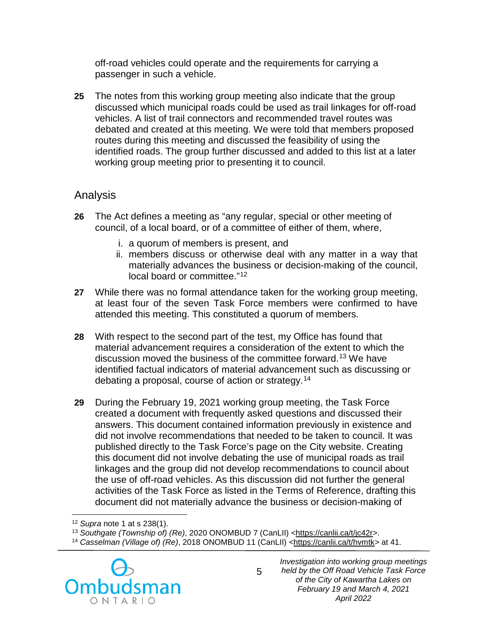off-road vehicles could operate and the requirements for carrying a passenger in such a vehicle.

**25** The notes from this working group meeting also indicate that the group discussed which municipal roads could be used as trail linkages for off-road vehicles. A list of trail connectors and recommended travel routes was debated and created at this meeting. We were told that members proposed routes during this meeting and discussed the feasibility of using the identified roads. The group further discussed and added to this list at a later working group meeting prior to presenting it to council.

#### Analysis

- **26** The Act defines a meeting as "any regular, special or other meeting of council, of a local board, or of a committee of either of them, where,
	- i. a quorum of members is present, and
	- ii. members discuss or otherwise deal with any matter in a way that materially advances the business or decision-making of the council, local board or committee."[12](#page-5-0)
- **27** While there was no formal attendance taken for the working group meeting, at least four of the seven Task Force members were confirmed to have attended this meeting. This constituted a quorum of members.
- **28** With respect to the second part of the test, my Office has found that material advancement requires a consideration of the extent to which the discussion moved the business of the committee forward. [13](#page-5-1) We have identified factual indicators of material advancement such as discussing or debating a proposal, course of action or strategy.[14](#page-5-2)
- **29** During the February 19, 2021 working group meeting, the Task Force created a document with frequently asked questions and discussed their answers. This document contained information previously in existence and did not involve recommendations that needed to be taken to council. It was published directly to the Task Force's page on the City website. Creating this document did not involve debating the use of municipal roads as trail linkages and the group did not develop recommendations to council about the use of off-road vehicles. As this discussion did not further the general activities of the Task Force as listed in the Terms of Reference, drafting this document did not materially advance the business or decision-making of

<span id="page-5-2"></span><span id="page-5-1"></span><span id="page-5-0"></span><sup>14</sup> *Casselman (Village of) (Re)*, 2018 ONOMBUD 11 (CanLII) [<https://canlii.ca/t/hvmtk>](https://canlii.ca/t/hvmtk) at 41.



 $\overline{a}$ <sup>12</sup> *Supra* note 1 at s 238(1).

<sup>13</sup> *Southgate (Township of) (Re)*, 2020 ONOMBUD 7 (CanLII) [<https://canlii.ca/t/jc42r>](https://canlii.ca/t/jc42r).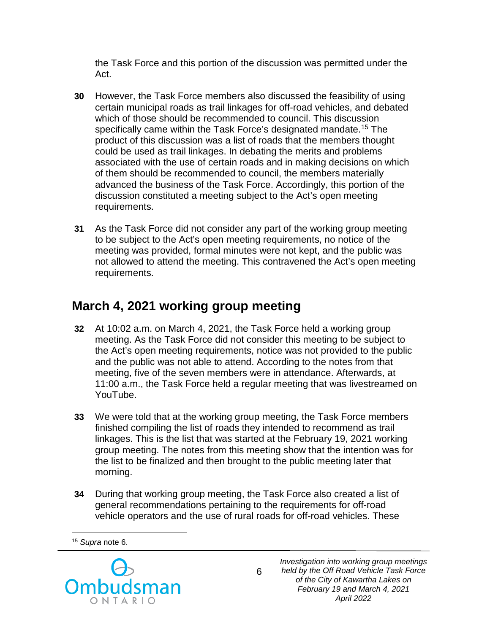the Task Force and this portion of the discussion was permitted under the Act.

- **30** However, the Task Force members also discussed the feasibility of using certain municipal roads as trail linkages for off-road vehicles, and debated which of those should be recommended to council. This discussion specifically came within the Task Force's designated mandate.<sup>[15](#page-6-0)</sup> The product of this discussion was a list of roads that the members thought could be used as trail linkages. In debating the merits and problems associated with the use of certain roads and in making decisions on which of them should be recommended to council, the members materially advanced the business of the Task Force. Accordingly, this portion of the discussion constituted a meeting subject to the Act's open meeting requirements.
- **31** As the Task Force did not consider any part of the working group meeting to be subject to the Act's open meeting requirements, no notice of the meeting was provided, formal minutes were not kept, and the public was not allowed to attend the meeting. This contravened the Act's open meeting requirements.

## **March 4, 2021 working group meeting**

- **32** At 10:02 a.m. on March 4, 2021, the Task Force held a working group meeting. As the Task Force did not consider this meeting to be subject to the Act's open meeting requirements, notice was not provided to the public and the public was not able to attend. According to the notes from that meeting, five of the seven members were in attendance. Afterwards, at 11:00 a.m., the Task Force held a regular meeting that was livestreamed on YouTube.
- **33** We were told that at the working group meeting, the Task Force members finished compiling the list of roads they intended to recommend as trail linkages. This is the list that was started at the February 19, 2021 working group meeting. The notes from this meeting show that the intention was for the list to be finalized and then brought to the public meeting later that morning.
- **34** During that working group meeting, the Task Force also created a list of general recommendations pertaining to the requirements for off-road vehicle operators and the use of rural roads for off-road vehicles. These

6

<span id="page-6-0"></span> $\overline{a}$ <sup>15</sup> *Supra* note 6.

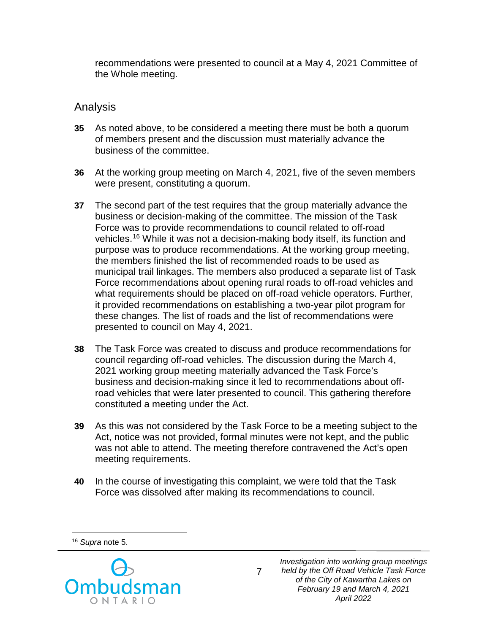recommendations were presented to council at a May 4, 2021 Committee of the Whole meeting.

#### Analysis

- **35** As noted above, to be considered a meeting there must be both a quorum of members present and the discussion must materially advance the business of the committee.
- **36** At the working group meeting on March 4, 2021, five of the seven members were present, constituting a quorum.
- **37** The second part of the test requires that the group materially advance the business or decision-making of the committee. The mission of the Task Force was to provide recommendations to council related to off-road vehicles. [16](#page-7-0) While it was not a decision-making body itself, its function and purpose was to produce recommendations. At the working group meeting, the members finished the list of recommended roads to be used as municipal trail linkages. The members also produced a separate list of Task Force recommendations about opening rural roads to off-road vehicles and what requirements should be placed on off-road vehicle operators. Further, it provided recommendations on establishing a two-year pilot program for these changes. The list of roads and the list of recommendations were presented to council on May 4, 2021.
- **38** The Task Force was created to discuss and produce recommendations for council regarding off-road vehicles. The discussion during the March 4, 2021 working group meeting materially advanced the Task Force's business and decision-making since it led to recommendations about offroad vehicles that were later presented to council. This gathering therefore constituted a meeting under the Act.
- **39** As this was not considered by the Task Force to be a meeting subject to the Act, notice was not provided, formal minutes were not kept, and the public was not able to attend. The meeting therefore contravened the Act's open meeting requirements.
- **40** In the course of investigating this complaint, we were told that the Task Force was dissolved after making its recommendations to council.

 $\overline{a}$ <sup>16</sup> *Supra* note 5.

<span id="page-7-0"></span>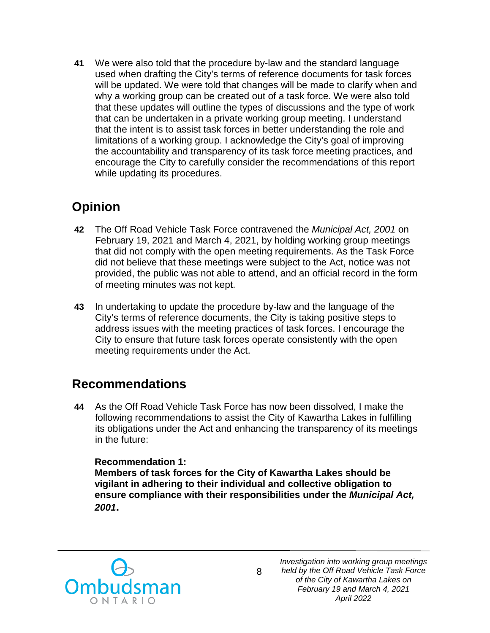**41** We were also told that the procedure by-law and the standard language used when drafting the City's terms of reference documents for task forces will be updated. We were told that changes will be made to clarify when and why a working group can be created out of a task force. We were also told that these updates will outline the types of discussions and the type of work that can be undertaken in a private working group meeting. I understand that the intent is to assist task forces in better understanding the role and limitations of a working group. I acknowledge the City's goal of improving the accountability and transparency of its task force meeting practices, and encourage the City to carefully consider the recommendations of this report while updating its procedures.

## **Opinion**

- **42** The Off Road Vehicle Task Force contravened the *Municipal Act, 2001* on February 19, 2021 and March 4, 2021, by holding working group meetings that did not comply with the open meeting requirements. As the Task Force did not believe that these meetings were subject to the Act, notice was not provided, the public was not able to attend, and an official record in the form of meeting minutes was not kept.
- **43** In undertaking to update the procedure by-law and the language of the City's terms of reference documents, the City is taking positive steps to address issues with the meeting practices of task forces. I encourage the City to ensure that future task forces operate consistently with the open meeting requirements under the Act.

### **Recommendations**

**44** As the Off Road Vehicle Task Force has now been dissolved, I make the following recommendations to assist the City of Kawartha Lakes in fulfilling its obligations under the Act and enhancing the transparency of its meetings in the future:

#### **Recommendation 1:**

**Members of task forces for the City of Kawartha Lakes should be vigilant in adhering to their individual and collective obligation to ensure compliance with their responsibilities under the** *Municipal Act, 2001***.**